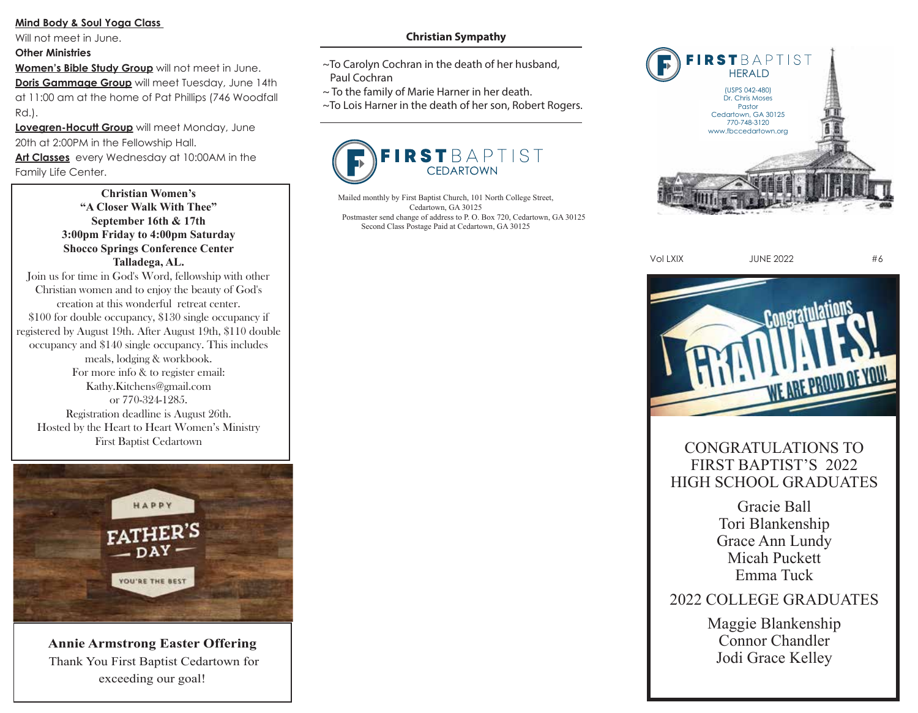### **Mind Body & Soul Yoga Class**

Will not meet in June.

#### **Other Ministries**

**Women's Bible Study Group** will not meet in June.

**Doris Gammage Group** will meet Tuesday, June 14th at 11:00 am at the home of Pat Phillips (746 Woodfall Rd.).

**Lovegren-Hocutt Group** will meet Monday, June 20th at 2:00PM in the Fellowship Hall.

**Art Classes** every Wednesday at 10:00AM in the Family Life Center.

> **Christian Women's "A Closer Walk With Thee" September 16th & 17th 3:00pm Friday to 4:00pm Saturday Shocco Springs Conference Center Talladega, AL.**

Join us for time in God's Word, fellowship with other Christian women and to enjoy the beauty of God's creation at this wonderful retreat center. \$100 for double occupancy, \$130 single occupancy if registered by August 19th. After August 19th, \$110 double occupancy and \$140 single occupancy. This includes meals, lodging & workbook. For more info & to register email: Kathy.Kitchens@gmail.com or 770-324-1285. Registration deadline is August 26th. Hosted by the Heart to Heart Women's Ministry First Baptist Cedartown



**Annie Armstrong Easter Offering** Thank You First Baptist Cedartown for exceeding our goal!

## **Christian Sympathy**

- ~To Carolyn Cochran in the death of her husband, Paul Cochran
- $\sim$  To the family of Marie Harner in her death.
- ~To Lois Harner in the death of her son, Robert Rogers.



Mailed monthly by First Baptist Church, 101 North College Street, Cedartown, GA 30125 Postmaster send change of address to P. O. Box 720, Cedartown, GA 30125 Second Class Postage Paid at Cedartown, GA 30125



Vol LXIX JUNE 2022 #6



## CONGRATULATIONS TO FIRST BAPTIST'S 2022 HIGH SCHOOL GRADUATES

Gracie Ball Tori Blankenship Grace Ann Lundy Micah Puckett Emma Tuck

# 2022 COLLEGE GRADUATES

Maggie Blankenship Connor Chandler Jodi Grace Kelley